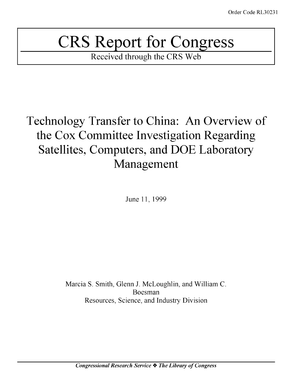# CRS Report for Congress

Received through the CRS Web

## Technology Transfer to China: An Overview of the Cox Committee Investigation Regarding Satellites, Computers, and **DOE** Laboratory Management

June 11, 1999

Marcia S. Smith, Glenn J. McLoughlin, and William C. Boesman Resources, Science, and Industry Division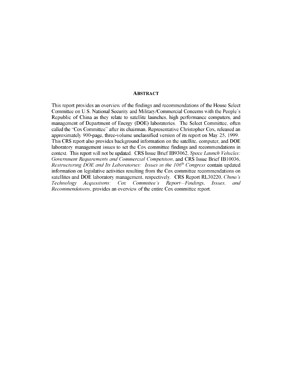#### **ABSTRACT**

This report provides an overview of the findings and recommendations of the House Select Committee on U.S. National Security and Military/Commercial Concerns with the People's Republic of China as they relate to satellite launches, high performance computers, and management of Department of Energy (DOE) laboratories. The Select Committee, often called the "Cox Committee" after its chairman. Representative Christopher Cox. released an approximately 900-page. three-volume unclassified version of its report on May 25. 1999. This CRS report also provides background information on the satellite, computer, and DOE laboratory management issues to set the Cox committee findings and recommendations in context. This report will not be updated. CRS Issue Brief 1B93062. *Space Launch Vehicles: Government Requirements and Commercial Competition,* and CRS Issue Brief 1B10036. *Restructuring DOE and Its Laboratories: Issues in the 106h Congress* contain updated information on legislative activities resulting from the Cox committee recommendations on satellites and DOE laboratory management, respectively. CRS Report RL30220. *China's Technology Acqutisitions: Cox Committee's Report Findings, Issues, and Recommendations,* provides an overview of the entire Cox committee report.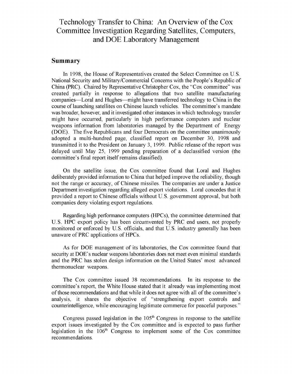## Technology Transfer to China: An Overview of the Cox Committee Investigation Regarding Satellites, Computers, and DOE Laboratory Management

#### Summary

In 1998, the House of Representatives created the Select Committee on U.S. National Security and Military/Commercial Concerns with the People's Republic of China (PRC). Chaired by Representative Christopher Cox, the "Cox committee" was created partially in response to allegations that two satellite manufacturing companies—Loral and Hughes—might have transferred technology to China in the course of launching satellites on Chinese launch vehicles. The committee's mandate was broader, however, and it investigated other instances in which technology transfer might have occurred, particularly in high performance computers and nuclear weapons information from laboratories managed by the Department of Energy (DOE). The five Republicans and four Democrats on the committee unanimously adopted a multi-hundred page, classified report on December 30, 1998 and transmitted it to the President on January 3, 1999. Public release of the report was delayed until May 25, 1999 pending preparation of a declassified version (the committee's final report itself remains classified).

On the satellite issue, the Cox committee found that Loral and Hughes deliberately provided information to China that helped improve the reliability, though not the range or accuracy, of Chinese missiles. The companies are under a Justice Department investigation regarding alleged export violations. Loral concedes that it provided a report to Chinese officials without U.S. government approval, but both companies deny violating export regulations.

Regarding high performance computers (HPCs), the committee determined that U.S. HPC export policy has been circumvented by PRC end users, not properly monitored or enforced by U.S. officials, and that U.S. industry generally has been unaware of PRC applications of HPCs.

As for DOE management of its laboratories, the Cox committee found that security at DOE's nuclear weapons laboratories does not meet even minimal standards and the PRC has stolen design information on the United States' most advanced thermonuclear weapons.

The Cox committee issued 38 recommendations. In its response to the committee's report, the White House stated that it already was implementing most of those recommendations and that while it does not agree with all of the committee's analysis, it shares the objective of "strengthening export controls and counterintelligence, while encouraging legitimate commerce for peaceful purposes."

Congress passed legislation in the 105<sup>th</sup> Congress in response to the satellite export issues investigated by the Cox committee and is expected to pass further legislation in the  $106<sup>th</sup>$  Congress to implement some of the Cox committee recommendations.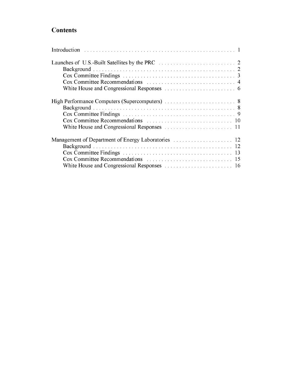## **Contents**

| -12 |
|-----|
|     |
|     |
|     |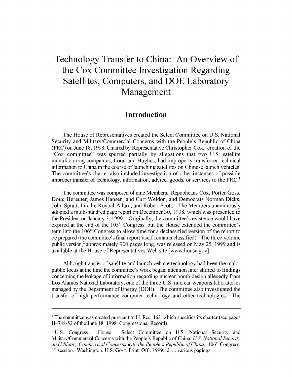## Technology Transfer to China: An Overview of the Cox Committee Investigation Regarding Satellites, Computers, and **DOE** Laboratory Management

## Introduction

The House of Representatives created the Select Committee on U.S. National Security and Military/Commercial Concerns with the People's Republic of China (PRC) on June 18, 1998. Chaired by Representative Christopher Cox, creation of the "Cox committee" was spurred partially by allegations that two U.S. satellite manufacturing companies, Loral and Hughes, had improperly transferred technical information to China in the course of launching satellites on Chinese launch vehicles. The committee's charter also included investigation of other instances of possible improper transfer of technology, information, advice, goods, or services to the  $PRC<sup>1</sup>$ 

The committee was composed of nine Members: Republicans Cox, Porter Goss, Doug Bereuter, James Hansen, and Curt Weldon, and Democrats Norman Dicks, John Spratt, Lucille Roybal-Allard, and Robert Scott. The Members unanimously adopted a multi-hundred page report on December 30, 1998, which was presented to the President on January 3, 1999. Originally, the committee's existence would have expired at the end of the  $105<sup>th</sup>$  Congress, but the House extended the committee's term into the  $106<sup>th</sup>$  Congress to allow time for a declassified version of the report to be prepared (the committee's final report itself remains classified). The three volume public version,<sup>2</sup> approximately 900 pages long, was released on May 25, 1999 and is available at the House of Representatives Web site [www.house.gov].

Although transfer of satellite and launch vehicle technology had been the major public focus at the time the committee's work began, attention later shifted to findings concerning the leakage of information regarding nuclear bomb design allegedly from Los Alamos National Laboratory, one of the three U.S. nuclear weapons laboratories managed by the Department of Energy (DOE). The committee also investigated the transfer of high performance computer technology and other technologies. The

**<sup>1</sup>** The committee was created pursuant to H. Res. 463. which specifies its charter (see pages H4748-52 of the June 18. 1998. Congressional Record).

<sup>&</sup>lt;sup>2</sup> U.S. Congress. House. Select Committee on U.S. National Security and Military/Commercial Concerns with the People's Republic of China. US *National Securit and Military Commercial Concerns with the People's Republic of China.* **106<sup>th</sup> Congress, 1"** session. Washington, U.S. Govt. Print. Off., 1999. 3 v., various pagings.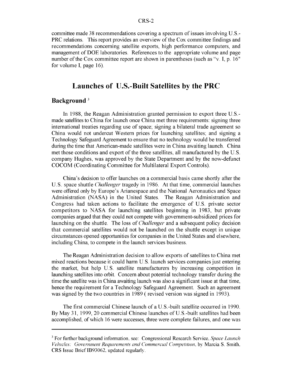committee made 38 recommendations covering a spectrum of issues involving U.S.- PRC relations. This report provides an overview of the Cox committee findings and recommendations concerning satellite exports, high performance computers, and management of DOE laboratories. References to the appropriate volume and page number of the Cox committee report are shown in parentheses (such as "v. I, p. 16" for volume I, page 16).

## Launches of U.S.-Built Satellites **by** the PRC

#### Background<sup>3</sup>

In 1988, the Reagan Administration granted permission to export three U.S. made satellites to China for launch once China met three requirements: signing three international treaties regarding use of space; signing a bilateral trade agreement so China would not undercut Western prices for launching satellites; and signing a Technology Safeguard Agreement to ensure that no technology would be transferred during the time that American-made satellites were in China awaiting launch. China met those conditions and export of the three satellites, all manufactured by the U.S. company Hughes, was approved by the State Department and by the now-defunct COCOM (Coordinating Committee for Multilateral Export Controls).

China's decision to offer launches on a commercial basis came shortly after the U.S. space shuttle *Challenger* tragedy in 1986. At that time, commercial launches were offered only by Europe's Arianespace and the National Aeronautics and Space Administration (NASA) in the United States. The Reagan Administration and Congress had taken actions to facilitate the emergence of U.S. private sector competitors to NASA for launching satellites beginning in 1983, but private companies argued that they could not compete with government-subsidized prices for launching on the shuttle. The loss of *Challenger* and a subsequent policy decision that commercial satellites would not be launched on the shuttle except in unique circumstances opened opportunities for companies in the United States and elsewhere, including China, to compete in the launch services business.

The Reagan Administration decision to allow exports of satellites to China met mixed reactions because it could harm U.S. launch services companies just entering the market, but help U.S. satellite manufacturers by increasing competition in launching satellites into orbit. Concern about potential technology transfer during the time the satellite was in China awaiting launch was also a significant issue at that time, hence the requirement for a Technology Safeguard Agreement. Such an agreement was signed by the two countries in 1989 **(** revised version was signed in 1993).

The first commercial Chinese launch of a U.S.-built satellite occurred in 1990. By May 31, 1999, 20 commercial Chinese launches of U.S.-built satellites had been accomplished, of which 16 were successes, three were complete failures, and one was

**<sup>3</sup>** For further background information, see: Congressional Research Service, *Space Launch Vehicles: Government Requirements and Commercial Competition.* **by** Marcia S. Smith. CRS Issue Brief 1B93062. updated regularly.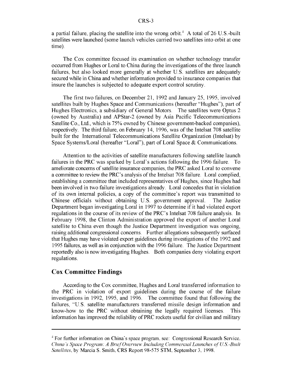a partial failure, placing the satellite into the wrong orbit.<sup> $+$ </sup> A total of 26 U.S.-built satellites were launched (some launch vehicles carried two satellites into orbit at one time).

The Cox committee focused its examination on whether technology transfer occurred from Hughes or Loral to China during the investigations of the three launch failures, but also looked more generally at whether U.S. satellites are adequately secured while in China and whether information provided to insurance companies that insure the launches is subjected to adequate export control scrutiny.

The first two failures, on December 21, 1992 and January 25, 1995, involved satellites built by Hughes Space and Communications (hereafter "Hughes"), part of Hughes Electronics, a subsidiary of General Motors. The satellites were Optus 2 (owned by Australia) and APStar-2 (owned by Asia Pacific Telecommunications Satellite Co., Ltd., which is **75%** owned by Chinese government-backed companies), respectively. The third failure, on February 14, 1996, was of the Intelsat 708 satellite built for the International Telecommunications Satellite Organization (Intelsat) by Space Systems/Loral (hereafter "Loral"), part of Loral Space & Communications.

Attention to the activities of satellite manufacturers following satellite launch failures in the PRC was sparked by Loral's actions following the 1996 failure. To ameliorate concerns of satellite insurance companies, the PRC asked Loral to convene a committee to review the PRC's analysis of the Intelsat 708 failure. Loral complied, establishing a committee that included representatives of Hughes, since Hughes had been involved in two failure investigations already. Loral concedes that in violation of its own internal policies, a copy of the committee's report was transmitted to Chinese officials without obtaining U.S. government approval. The Justice Department began investigating Loral in 1997 to determine if it had violated export regulations in the course of its review of the PRC's Intelsat 708 failure analysis. In February 1998, the Clinton Administration approved the export of another Loral satellite to China even though the Justice Department investigation was ongoing, raising additional congressional concerns. Further allegations subsequently surfaced that Hughes may have violated export guidelines during investigations of the 1992 and 1995 failures, as well as in conjunction with the 1996 failure. The Justice Department reportedly also is now investigating Hughes. Both companies deny violating export regulations.

#### Cox Committee Findings

According to the Cox committee, Hughes and Loral transferred information to the PRC in violation of export guidelines during the course of the failure investigations in 1992, 1995, and 1996. The committee found that following the failures, "U.S. satellite manufacturers transferred missile design information and know-how to the PRC without obtaining the legally required licenses. This information has improved the reliability of PRC rockets useful for civilian and military

<sup>&</sup>lt;sup>4</sup> For further information on China's space program, see: Congressional Research Service, *China's Space Program: A Brief Overview Inchding Commercial Launches of US.-Built Satellites.* **bv** Marcia S. Smith. CRS Report 98-575 STM. September 3. 1998.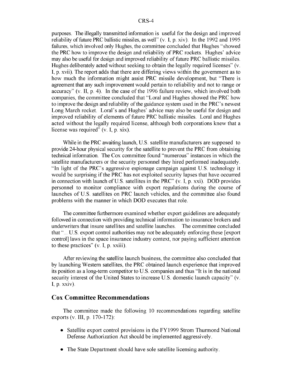purposes. The illegally transmitted information is useful for the design and improved reliability of future PRC ballistic missiles, as well" (v. I, p. xiv). In the 1992 and 1995 failures, which involved only Hughes, the committee concluded that Hughes "showed the PRC how to improve the design and reliability of PRC rockets. Hughes' advice may also be useful for design and improved reliability of future PRC ballistic missiles. Hughes deliberately acted without seeking to obtain the legally required licenses" (v. I, p. xvii). The report adds that there are differing views within the government as to how much the information might assist PRC missile development, but "There is agreement that any such improvement would pertain to reliability and not to range or accuracy" (v. II, p. 4). In the case of the 1996 failure review, which involved both companies, the committee concluded that "Loral and Hughes showed the PRC how to improve the design and reliability of the guidance system used in the PRC's newest Long March rocket. Loral's and Hughes' advice may also be useful for design and improved reliability of elements of future PRC ballistic missiles. Loral and Hughes acted without the legally required license, although both corporations knew that a license was required"  $(v, I, p, x\,ix)$ .

While in the PRC awaiting launch, U.S. satellite manufacturers are supposed to provide 24-hour physical security for the satellite to prevent the PRC from obtaining technical information. The Cox committee found "numerous" instances in which the satellite manufacturers or the security personnel they hired performed inadequately. "In light of the PRC's aggressive espionage campaign against U.S. technology it would be surprising if the PRC has not exploited security lapses that have occurred in connection with launch of U.S. satellites in the PRC" (v. I, p. xxi). DOD provides personnel to monitor compliance with export regulations during the course of launches of U.S. satellites on PRC launch vehicles, and the committee also found problems with the manner in which DOD executes that role.

The committee furthermore examined whether export guidelines are adequately followed in connection with providing technical information to insurance brokers and underwriters that insure satellites and satellite launches. The committee concluded that "... U.S. export control authorities may not be adequately enforcing these [export control] laws in the space insurance industry context, nor paying sufficient attention to these practices"  $(v, I, p. xxiii)$ .

After reviewing the satellite launch business, the committee also concluded that by launching Western satellites, the PRC obtained launch experience that improved its position as a long-term competitor to U.S. companies and thus "It is in the national security interest of the United States to increase U.S. domestic launch capacity" (v. **I,** p. xxiv).

#### Cox Committee Recommendations

The committee made the following 10 recommendations regarding satellite exports (v. III, p. 170-172):

- **"** Satellite export control provisions in the FY1999 Strom Thurmond National Defense Authorization Act should be implemented aggressively.
- **"** The State Department should have sole satellite licensing authority.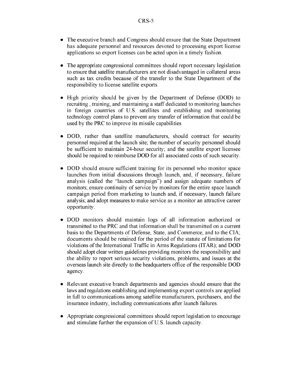- **"** The executive branch and Congress should ensure that the State Department has adequate personnel and resources devoted to processing export license applications so export licenses can be acted upon in a timely fashion.
- **"** The appropriate congressional committees should report necessary legislation to ensure that satellite manufacturers are not disadvantaged in collateral areas such as tax credits because of the transfer to the State Department of the responsibility to license satellite exports.
- **"** High priority should be given by the Department of Defense (DOD) to recruiting, training, and maintaining a staff dedicated to monitoring launches in foreign countries of U.S. satellites and establishing and monitoring technology control plans to prevent any transfer of information that could be used by the PRC to improve its missile capabilities
- DOD, rather than satellite manufacturers, should contract for security personnel required at the launch site; the number of security personnel should be sufficient to maintain 24-hour security; and the satellite export licensee should be required to reimburse DOD for all associated costs of such security.
- **"** DOD should ensure sufficient training for its personnel who monitor space launches from initial discussions through launch, and, if necessary, failure analysis (called the "launch campaign") and assign adequate numbers of monitors; ensure continuity of service by monitors for the entire space launch campaign period from marketing to launch and, if necessary, launch failure analysis; and adopt measures to make service as a monitor an attractive career opportunity.
- **"** DOD monitors should maintain logs of all information authorized or transmitted to the PRC and that information shall be transmitted on a current basis to the Departments of Defense, State, and Commerce, and to the CIA; documents should be retained for the period of the statute of limitations for violations of the International Traffic in Arms Regulations (ITAR); and DOD should adopt clear written guidelines providing monitors the responsibility and the ability to report serious security violations, problems, and issues at the overseas launch site directly to the headquarters office of the responsible DOD agency.
- **"** Relevant executive branch departments and agencies should ensure that the laws and regulations establishing and implementing export controls are applied in full to communications among satellite manufacturers, purchasers, and the insurance industry, including communications after launch failures.
- **"** Appropriate congressional committees should report legislation to encourage and stimulate further the expansion of U.S. launch capacity.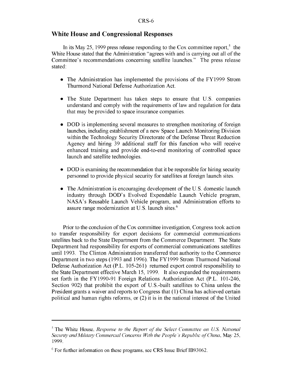#### White House and Congressional Responses

In its May 25, 1999 press release responding to the Cox committee report,<sup>5</sup> the White House stated that the Administration "agrees with and is carrying out all of the Committee's recommendations concerning satellite launches." The press release stated:

- The Administration has implemented the provisions of the FY1999 Strom Thurmond National Defense Authorization Act.
- **"** The State Department has taken steps to ensure that U.S. companies understand and comply with the requirements of law and regulation for data that may be provided to space insurance companies.
- **"** DOD is implementing several measures to strengthen monitoring of foreign launches, including establishment of a new Space Launch Monitoring Division within the Technology Security Directorate of the Defense Threat Reduction Agency and hiring 39 additional staff for this function who will receive enhanced training and provide end-to-end monitoring of controlled space launch and satellite technologies.
- **"** DOD is examining the recommendation that it be responsible for hiring security personnel to provide physical security for satellites at foreign launch sites.
- **"** The Administration is encouraging development of the U.S. domestic launch industry through DOD's Evolved Expendable Launch Vehicle program, NASA's Reusable Launch Vehicle program, and Administration efforts to assure range modernization at U.S. launch sites.<sup>6</sup>

Prior to the conclusion of the Cox committee investigation, Congress took action to transfer responsibility for export decisions for commercial communications satellites back to the State Department from the Commerce Department. The State Department had responsibility for exports of commercial communications satellites until 1993. The Clinton Administration transferred that authority to the Commerce Department in two steps (1993 and 1996). The FY1999 Strom Thurmond National Defense Authorization Act (P.L. 105-261) returned export control responsibility to the State Department effective March 15, 1999. It also expanded the requirements set forth in the FY1990-91 Foreign Relations Authorization Act (P.L. 101-246, Section 902) that prohibit the export of U.S.-built satellites to China unless the President grants a waiver and reports to Congress that (1) China has achieved certain political and human rights reforms, or (2) it is in the national interest of the United

**<sup>5</sup>** The White House. *Response to the Report of the Select Committee on US National Security and Military Commercial Concerns With the People's Republic of China, May 25,* 1999.

**<sup>6</sup>** For further information on these programs, see CRS Issue Brief 1B93062.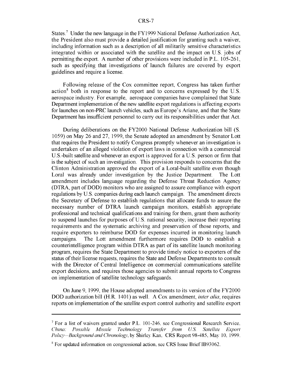States.<sup>7</sup> Under the new language in the FY1999 National Defense Authorization Act, the President also must provide a detailed justification for granting such a waiver, including information such as a description of all militarily sensitive characteristics integrated within or associated with the satellite and the impact on U.S. jobs of permitting the export. A number of other provisions were included in P.L. 105-261, such as specifying that investigations of launch failures are covered by export guidelines and require a license.

Following release of the Cox committee report, Congress has taken further action<sup>8</sup> both in response to the report and to concerns expressed by the U.S. aerospace industry. For example, aerospace companies have complained that State Department implementation of the new satellite export regulations is affecting exports for launches on non-PRC launch vehicles, such as Europe's Ariane, and that the State Department has insufficient personnel to carry out its responsibilities under that Act.

During deliberations on the FY2000 National Defense Authorization bill (S. 1059) on May 26 and 27, 1999, the Senate adopted an amendment by Senator Lott that requires the President to notify Congress promptly whenever an investigation is undertaken of an alleged violation of export laws in connection with a commercial U.S.-built satellite and whenever an export is approved for a U.S. person or firm that is the subject of such an investigation. This provision responds to concerns that the Clinton Administration approved the export of a Loral-built satellite even though Loral was already under investigation by the Justice Department. The Lott amendment includes language regarding the Defense Threat Reduction Agency (DTRA, part of DOD) monitors who are assigned to assure compliance with export regulations by U.S. companies during each launch campaign. The amendment directs the Secretary of Defense to establish regulations that allocate funds to assure the necessary number of DTRA launch campaign monitors, establish appropriate professional and technical qualifications and training for them, grant them authority to suspend launches for purposes of U.S. national security, increase their reporting requirements and the systematic archiving and preservation of those reports, and require exporters to reimburse DOD for expenses incurred in monitoring launch campaigns. The Lott amendment furthermore requires DOD to establish a counterintelligence program within DTRA as part of its satellite launch monitoring program, requires the State Department to provide timely notice to exporters of the status of their license requests, requires the State and Defense Departments to consult with the Director of Central Intelligence on commercial communications satellite export decisions, and requires those agencies to submit annual reports to Congress on implementation of satellite technology safeguards.

On June 9, 1999, the House adopted amendments to its version of the FY2000 DOD authorization bill (H.R. 1401) as well. A Cox amendment, *inter alia,* requires reports on implementation of the satellite export control authority and satellite export

**<sup>7</sup>** For a list of waivers granted under P.L. 101-246. see Congressional Research Service. *China: Possible Missile Technology Transfer from US Satellite Export Policy-Background and Chronology.* by Shirley Kan. CRS Report 98-485. May 10. 1999.

<sup>&</sup>lt;sup>8</sup> For updated information on congressional action, see CRS Issue Brief IB93062.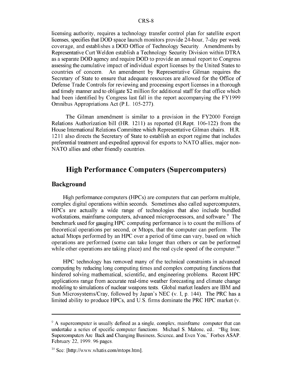licensing authority, requires a technology transfer control plan for satellite export licenses, specifies that **DOD** space launch monitors provide 24-hour, 7-day per week coverage, and establishes a **DOD** Office of Technology Security. Amendments by Representative Curt Weldon establish a Technology Security Division within DTRA as a separate **DOD** agency and require **DOD** to provide an annual report to Congress assessing the cumulative impact of individual export licenses by the United States to countries of concern. An amendment by Representative Gilman requires the Secretary of State to ensure that adequate resources are allowed for the Office of Defense Trade Controls for reviewing and processing export licenses in a thorough and timely manner and to obligate \$2 million for additional staff for that office which had been identified by Congress last fall in the report accompanying the FY1999 Omnibus Appropriations Act (P.L. 105-277).

The Gilman amendment is similar to a provision in the FY2000 Foreign Relations Authorization bill (HR. 1211) as reported (H.Rept. 106-122) from the House International Relations Committee which Representative Gilman chairs. H.R. 1211 also directs the Secretary of State to establish an export regime that includes preferential treatment and expedited approval for exports to NATO allies, major non-NATO allies and other friendly countries.

## High Performance Computers (Supercomputers)

#### Background

High performance computers (HPCs) are computers that can perform multiple, complex digital operations within seconds. Sometimes also called supercomputers, HPCs are actually a wide range of technologies that also include bundled workstations, mainframe computers, advanced microprocessors, and software.<sup>9</sup> The benchmark used for gauging **HPC** computing performance is to count the millions of theoretical operations per second, or Mtops, that the computer can perform. The actual Mtops performed by an **HPC** over a period of time can vary, based on which operations are performed (some can take longer than others or can be performed while other operations are taking place) and the real cycle speed of the computer.<sup>10</sup>

HPC technology has removed many of the technical constraints in advanced computing by reducing long computing times and complex computing functions that hindered solving mathematical, scientific, and engineering problems. Recent HPC applications range from accurate real-time weather forecasting and climate change modeling to simulations of nuclear weapons tests. Global market leaders are IBM and Sun Microsystems/Cray, followed by Japan's NEC (v. I, p. 144). The PRC has a limited ability to produce HPCs, and U.S. firms dominate the PRC HPC market (v.

<sup>&</sup>lt;sup>9</sup> A supercomputer is usually defined as a single, complex, mainframe computer that can undertake a series of specific computer functions. Michael S. Malone, ed.. "Big Iron, Supercomputers Are Back and Changing Business, Science, and Even You," Forbes ASAP. February 22, 1999. 96 pages.

 $\frac{10}{10}$  See: [http://www.whatis.com/mtops.htm].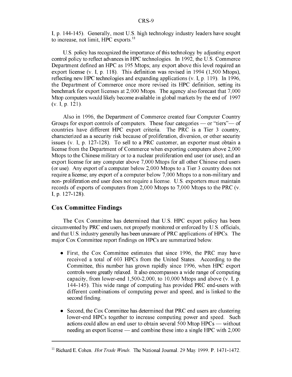I, p. 144-145). Generally, most U.S. high technology industry leaders have sought to increase, not limit, HPC exports.<sup>11</sup>

U.S. policy has recognized the importance of this technology by adjusting export control policy to reflect advances in IPC technologies. In 1992, the U.S. Commerce Department defined an HPC as 195 Mtops; any export above this level required an export license (v. I, p. 118). This definition was revised in 1994 (1,500 Mtops), reflecting new IPC technologies and expanding applications (v. I, p. 119). In 1996, the Department of Commerce once more revised its IPC definition, setting its benchmark for export licenses at 2,000 Mtops. The agency also forecast that 7,000 Mtop computers would likely become available in global markets by the end of 1997 (v. I, p. 121).

Also in 1996, the Department of Commerce created four Computer Country Groups for export controls of computers. These four categories — or "tiers"— of countries have different HPC export criteria. The PRC is a Tier 3 country, characterized as a security risk because of proliferation, diversion, or other security issues (v. I, p. 127-128). To sell to a PRC customer, an exporter must obtain a license from the Department of Commerce when exporting computers above 2,000 Mtops to the Chinese military or to a nuclear proliferation end user (or use); and an export license for any computer above 7,000 Mtops for all other Chinese end users (or use). Any export of a computer below 2,000 Mtops to a Tier 3 country does not require a license; any export of a computer below 7,000 Mtops to a non-military and non- proliferation end user does not require a license. U.S. exporters must maintain records of exports of computers from 2,000 Mtops to 7,000 Mtops to the PRC (v. I, p. 127-128).

#### Cox Committee Findings

The Cox Committee has determined that U.S. HPC export policy has been circumvented by PRC end users, not properly monitored or enforced by U.S. officials, and that U.S. industry generally has been unaware of PRC applications of IPCs. The major Cox Committee report findings on IPCs are summarized below.

- **"** First, the Cox Committee estimates that since 1996, the PRC may have received a total of 603 HPCs from the United States. According to the Committee, this number has grown rapidly since 1996, when HPC export controls were greatly relaxed. It also encompasses a wide range of computing capacity, from lower-end  $1,500-2,000$ , to  $10,000$  Mtops and above (v. I, p. 144-145). This wide range of computing has provided PRC end-users with different combinations of computing power and speed, and is linked to the second finding.
- Second, the Cox Committee has determined that PRC end users are clustering lower-end HPCs together to increase computing power and speed. Such actions could allow an end user to obtain several 500 Mtop HPCs **-** without needing an export license — and combine these into a single HPC with 2,000

<sup>&</sup>lt;sup>11</sup> Richard E. Cohen. *Hot Trade Winds*. The National Journal. 29 May 1999. P. 1471-1472.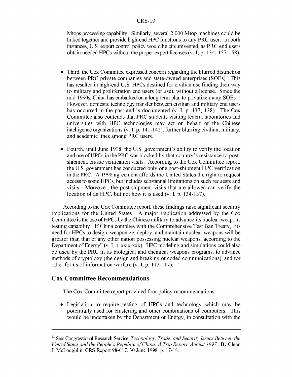#### CRS-10

Mtops processing capability. Similarly, several 2,000 Mtop machines could be linked together and provide high-end HPC functions to any PRC user. In both instances, U.S. export control policy would be circumvented, as PRC end users obtain needed HPCs without the proper export licenses (v. I, p. 134; 157-158).

- Third, the Cox Committee expressed concern regarding the blurred distinction between PRC private companies and state-owned enterprises (SOEs). This has resulted in high-end U.S. HPCs destined for civilian use finding their way to military and proliferation end users (or use), without a license. Since the mid-1990s, China has embarked on a long-term plan to privatize many SOEs.<sup>12</sup> However, domestic technology transfer between civilian and military end users has occurred in the past and is documented (v. I, p. 137; 138). The Cox Committee also contends that PRC students visiting federal laboratories and universities with HPC technologies may act on behalf of the Chinese intelligence organizations (v. I, p. 141-142), further blurring civilian, military, and academic lines among PRC users.
- Fourth, until June 1998, the U.S. government's ability to verify the location and use of HPCs in the PRC was blocked by that country's resistance to postshipment, on-site verification visits. According to the Cox Committee report, the U.S. government has conducted only one post-shipment HPC verification in the PRC. A 1998 agreement affords the United States the right to request access to some HPCs, but includes substantial limitations on such requests and visits. Moreover, the post-shipment visits that are allowed can verify the location of an HPC, but not how it is used (v. I, p. 134-137).

According to the Cox Committee report, these findings raise significant security implications for the United States. A major implication addressed by the Cox Committee is the use of HPCs by the Chinese military to advance its nuclear weapons testing capability. If China complies with the Comprehensive Test Ban Treaty, "its need for HPCs to design, weaponize, deploy, and maintain nuclear weapons will be greater than that of any other nation possessing nuclear weapons, according to the Department of Energy" (v. I, p. xxix-xxx). HPC modeling and simulations could also be used by the PRC in its biological and chemical weapons programs, to advance methods of cryptology (the design and breaking of coded communications), and for other forms of information warfare (v. I, p. 112-117).

#### Cox Committee Recommendations

The Cox Committee report provided four policy recommendations.

• Legislation to require testing of HPCs and technology which may be potentially used for clustering and other combinations of computers. This would be undertaken by the Department of Energy, in consultation with the

<sup>12</sup> See: Congressional Research Service. *Technology, Trade, and Security Issues Between the United States and the People's Republic of China: A Trip Report, August 1997.* By Glenn **J.** McLoughlin, CRS Report 98-617, 30 June 1998, p. 17-18.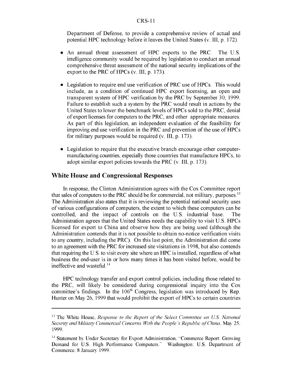#### CRS- **1I**

Department of Defense, to provide a comprehensive review of actual and potential HPC technology before it leaves the United States (v. III, p. 172).

- **"** An annual threat assessment of HPC exports to the PRC. The U.S. intelligence community would be required by legislation to conduct an annual comprehensive threat assessment of the national security implications of the export to the PRC of HPCs  $(v, III, p, 173)$ .
- **"** Legislation to require end use verification of PRC use of HPCs. This would include, as a condition of continued HPC export licensing, an open and transparent system of HPC verification by the PRC by September 30, 1999. Failure to establish such a system by the PRC would result in actions by the United States to lower the benchmark levels of HPCs sold to the PRC, denial of export licenses for computers to the PRC, and other appropriate measures. As part of this legislation, an independent evaluation of the feasibility for improving end use verification in the PRC and prevention of the use of HPCs for military purposes would be required (v. III, p. 173).
- **"** Legislation to require that the executive branch encourage other computermanufacturing countries, especially those countries that manufacture HPCs, to adopt similar export policies towards the PRC (v. III, p. 173).

#### White House and Congressional Responses

In response, the Clinton Administration agrees with the Cox Committee report that sales of computers to the PRC should be for commercial, not military, purposes.<sup>13</sup> The Administration also states that it is reviewing the potential national security uses of various configurations of computers, the extent to which these computers can be controlled, and the impact of controls on the U.S. industrial base. The Administration agrees that the United States needs the capability to visit U.S. HPCs licensed for export to China and observe how they are being used (although the Administration contends that it is not possible to obtain no-notice verification visits to any country, including the PRC). On this last point, the Administration did come to an agreement with the PRC for increased site visitations in 1998, but also contends that requiring the U.S. to visit every site where an IPC is installed, regardless of what business the end-user is in or how many times it has been visited before, would be ineffective and wasteful. $14$ 

IPC technology transfer and export control policies, including those related to the PRC, will likely be considered during congressional inquiry into the Cox committee's findings. In the  $106<sup>th</sup>$  Congress, legislation was introduced by Rep. Hunter on May 26, 1999 that would prohibit the export of HPCs to certain countries

<sup>&</sup>lt;sup>13</sup> The White House, *Response to the Report of the Select Committee on U.S. National Security and Military Commercial Concerns With the People's Republic of China.* May 25. 1999.

<sup>&</sup>lt;sup>14</sup> Statement by Under Secretary for Export Administration, "Commerce Report: Growing Demand for U.S. High Performance Computers." Washington: U.S. Department of Commerce. 8 January 1999.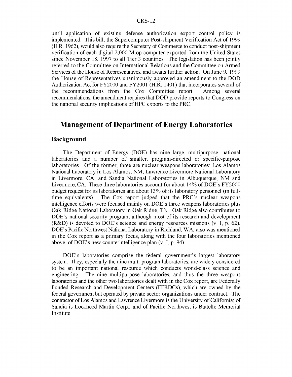until application of existing defense authorization export control policy is implemented. This bill, the Supercomputer Post-shipment Verification Act of 1999 (H.R. 1962), would also require the Secretary of Commerce to conduct post-shipment verification of each digital 2,000 Mtop computer exported from the United States since November 18, 1997 to all Tier 3 countries. The legislation has been jointly referred to the Committee on International Relations and the Committee on Armed Services of the House of Representatives, and awaits further action. On June 9, 1999 the House of Representatives unanimously approved an amendment to the DOD Authorization Act for FY2000 and FY2001 (H.R. 1401) that incorporates several of the recommendations from the Cox Committee report. Among several recommendations, the amendment requires that DOD provide reports to Congress on the national security implications of HPC exports to the PRC.

## Management of Department of Energy Laboratories

#### Background

The Department of Energy (DOE) has nine large, multipurpose, national laboratories and a number of smaller, program-directed or specific-purpose laboratories. Of the former, three are nuclear weapons laboratories: Los Alamos National Laboratory in Los Alamos, NM; Lawrence Livermore National Laboratory in Livermore, CA; and Sandia National Laboratories in Albuquerque, NM and Livermore, CA. These three laboratories account for about 14% of DOE's FY2000 budget request for its laboratories and about **13%** of its laboratory personnel (in fulltime equivalents). The Cox report judged that the PRC's nuclear weapons intelligence efforts were focused mainly on DOE's three weapons laboratories plus Oak Ridge National Laboratory in Oak Ridge, TN. Oak Ridge also contributes to DOE's national security program, although most of its research and development (R&D) is devoted to DOE's science and energy resources missions (v. I, p. 62). DOE's Pacific Northwest National Laboratory in Richland, WA, also was mentioned in the Cox report as a primary focus, along with the four laboratories mentioned above, of DOE's new counterintelligence plan (v. I, p. 94).

DOE's laboratories comprise the federal government's largest laboratory system. They, especially the nine multi program laboratories, are widely considered to be an important national resource which conducts world-class science and engineering. The nine multipurpose laboratories, and thus the three weapons laboratories and the other two laboratories dealt with in the Cox report, are Federally Funded Research and Development Centers (FFRDCs), which are owned by the federal government but operated by private sector organizations under contract. The contractor of Los Alamos and Lawrence Livermore is the University of California; of Sandia is Lockheed Martin Corp.; and of Pacific Northwest is Battelle Memorial Institute.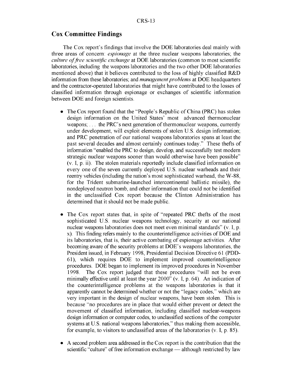#### Cox Committee Findings

The Cox report's findings that involve the DOE laboratories deal mainly with three areas of concern: *espionage* at the three nuclear weapons laboratories; the *culture of free scientific exchange* at DOE laboratories (common to most scientific laboratories, including the weapons laboratories and the two other DOE laboratories mentioned above) that it believes contributed to the loss of highly classified R&D information from these laboratories; and *management problems* at DOE headquarters and the contractor-operated laboratories that might have contributed to the losses of classified information through espionage or exchanges of scientific information between DOE and foreign scientists.

- **"** The Cox report found that the "People's Republic of China (PRC) has stolen design information on the United States' most advanced thermonuclear weapons; **...** the PRC's next generation of thermonuclear weapons, currently under development, will exploit elements of stolen U.S. design information; and PRC penetration of our national weapons laboratories spans at least the past several decades and almost certainly continues today." These thefts of information "enabled the PRC to design, develop, and successfully test modern strategic nuclear weapons sooner than would otherwise have been possible" (v. I, p. ii). The stolen materials reportedly include classified information on every one of the seven currently deployed U.S. nuclear warheads and their reentry vehicles (including the nation's most sophisticated warhead, the W-88, for the Trident submarine-launched intercontinental ballistic missile), the nondeployed neutron bomb, and other information that could not be identified in the unclassified Cox report because the Clinton Administration has determined that it should not be made public.
- The Cox report states that, in spite of "repeated PRC thefts of the most sophisticated U.S. nuclear weapons technology, security at our national nuclear weapons laboratories does not meet even minimal standards" (v. I, p. x). This finding refers mainly to the counterintelligence activities of DOE and its laboratories, that is, their active combating of espionage activities. After becoming aware of the security problems at DOE's weapons laboratories, the President issued, in February 1998, Presidential Decision Directive 61 (PDD-61), which requires DOE to implement improved counterintelligence procedures. DOE began to implement its improved procedures in November 1998. The Cox report judged that these procedures "will not be even minimally effective until at least the year 2000" (v. I, p. 64). An indication of the counterintelligence problems at the weapons laboratories is that it apparently cannot be determined whether or not the "legacy codes," which are very important in the design of nuclear weapons, have been stolen. This is because "no procedures are in place that would either prevent or detect the movement of classified information, including classified nuclear-weapons design information or computer codes, to unclassified sections of the computer systems at U.S. national weapons laboratories," thus making them accessible, for example, to visitors to unclassified areas of the laboratories (v. I, p. 85).
- **"** A second problem area addressed in the Cox report is the contribution that the scientific "culture" of free information exchange **-** although restricted by law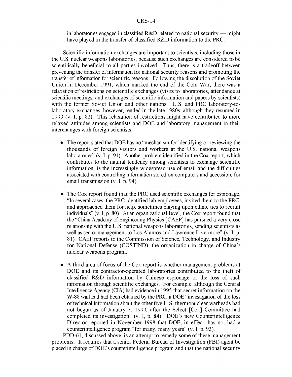#### CRS-14

in laboratories engaged in classified R&D related to national security **-** might have played in the transfer of classified R&D information to the PRC.

Scientific information exchanges are important to scientists, including those in the U.S. nuclear weapons laboratories, because such exchanges are considered to be scientifically beneficial to all parties involved. Thus, there is a tradeoff between preventing the transfer of information for national security reasons and promoting the transfer of information for scientific reasons. Following the dissolution of the Soviet Union in December 1991, which marked the end of the Cold War, there was a relaxation of restrictions on scientific exchanges (visits to laboratories, attendance at scientific meetings, and exchanges of scientific information and papers by scientists) with the former Soviet Union and other nations. U.S. and PRC laboratory-tolaboratory exchanges, however, ended in the late 1980s, although they resumed in 1993 (v. I, p. 82). This relaxation of restrictions might have contributed to more relaxed attitudes among scientists and DOE and laboratory management in their interchanges with foreign scientists.

- **"** The report stated that DOE has no "mechanism for identifying or reviewing the thousands of foreign visitors and workers at the U.S. national weapons laboratories" (v. I, p. 94). Another problem identified in the Cox report, which contributes to the natural tendency among scientists to exchange scientific information, is the increasingly widespread use of email and the difficulties associated with controlling information stored on computers and accessible for email transmission (v. I, p. 94).
- The Cox report found that the PRC used scientific exchanges for espionage. "In several cases, the PRC identified lab employees, invited them to the PRC, and approached them for help, sometimes playing upon ethnic ties to recruit individuals" (v. I, p. 80). At an organizational level, the Cox report found that the "China Academy of Engineering Physics [CAEP] has pursued a very close relationship with the U.S. national weapons laboratories, sending scientists as well as senior management to Los Alamos and Lawrence Livermore" (v. **1,** p. 81). CAEP reports to the Commission of Science, Technology, and Industry for National Defense (COSTIND), the organization in charge of China's nuclear weapons program.
- **"** A third area of focus of the Cox report is whether management problems at DOE and its contractor-operated laboratories contributed to the theft of classified R&D information by Chinese espionage or the loss of such information through scientific exchanges. For example, although the Central Intelligence Agency (CIA) had evidence in 1995 that secret information on the W-88 warhead had been obtained by the PRC, a DOE "investigation of the loss of technical information about the other five U.S. thermonuclear warheads had not begun as of January 3, 1999, after the Select [Cox] Committee had completed its investigation" (v. I, p. 84). DOE's new Counterintelligence Director reported in November 1998 that DOE, in effect, has not had a counterintelligence program "for many, many years" (v. I, p. 93).

PDD-61, discussed above, is an attempt to remedy some of these management problems. It requires that a senior Federal Bureau of Investigation (FBI) agent be placed in charge of DOE's counterintelligence program and that the national security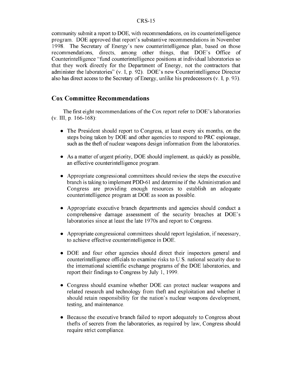community submit a report to DOE, with recommendations, on its counterintelligence program. DOE approved that report's substantive recommendations in November 1998. The Secretary of Energy's new counterintelligence plan, based on those recommendations, directs, among other things, that DOE's Office of Counterintelligence "fund counterintelligence positions at individual laboratories so that they work directly for the Department of Energy, not the contractors that administer the laboratories" (v. I, p. 92). DOE's new Counterintelligence Director also has direct access to the Secretary of Energy, unlike his predecessors (v. I, p. 93).

#### Cox Committee Recommendations

The first eight recommendations of the Cox report refer to DOE's laboratories (v. III, p. 166-168):

- **"** The President should report to Congress, at least every six months, on the steps being taken by DOE and other agencies to respond to PRC espionage, such as the theft of nuclear weapons design information from the laboratories.
- **"** As a matter of urgent priority, DOE should implement, as quickly as possible, an effective counterintelligence program.
- **"** Appropriate congressional committees should review the steps the executive branch is taking to implement PDD-61 and determine if the Administration and Congress are providing enough resources to establish an adequate counterintelligence program at DOE as soon as possible.
- **"** Appropriate executive branch departments and agencies should conduct a comprehensive damage assessment of the security breaches at DOE's laboratories since at least the late 1970s and report to Congress.
- **"** Appropriate congressional committees should report legislation, if necessary, to achieve effective counterintelligence in DOE.
- **"** DOE and four other agencies should direct their inspectors general and counterintelligence officials to examine risks to U.S. national security due to the international scientific exchange programs of the DOE laboratories, and report their findings to Congress by July 1, 1999.
- **"** Congress should examine whether DOE can protect nuclear weapons and related research and technology from theft and exploitation and whether it should retain responsibility for the nation's nuclear weapons development, testing, and maintenance.
- **"** Because the executive branch failed to report adequately to Congress about thefts of secrets from the laboratories, as required by law, Congress should require strict compliance.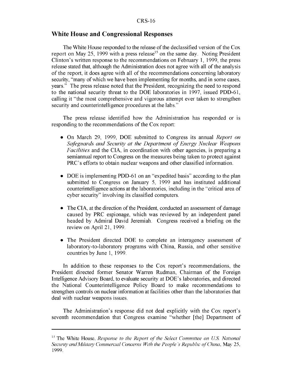#### White House and Congressional Responses

The White House responded to the release of the declassified version of the Cox report on May 25, 1999 with a press release<sup>15</sup> on the same day. Noting President Clinton's written response to the recommendations on February 1, 1999, the press release stated that, although the Administration does not agree with all of the analysis of the report, it does agree with all of the recommendations concerning laboratory security, "many of which we have been implementing for months, and in some cases, years." The press release noted that the President, recognizing the need to respond to the national security threat to the DOE laboratories in 1997, issued PDD-61, calling it "the most comprehensive and vigorous attempt ever taken to strengthen security and counterintelligence procedures at the labs."

The press release identified how the Administration has responded or is responding to the recommendations of the Cox report:

- **"** On March 29, 1999, DOE submitted to Congress its annual *Report on Safeguards and Security at the Department of Energy Nuclear Weapons Facilities* and the CIA, in coordination with other agencies, is preparing a semiannual report to Congress on the measures being taken to protect against PRC's efforts to obtain nuclear weapons and other classified information.
- **"** DOE is implementing PDD-61 on an "expedited basis" according to the plan submitted to Congress on January 5, 1999 and has instituted additional counterintelligence actions at the laboratories, including in the "critical area of cyber security" involving its classified computers.
- **"** The CIA, at the direction of the President, conducted an assessment of damage caused by PRC espionage, which was reviewed by an independent panel headed by Admiral David Jeremiah. Congress received a briefing on the review on April 21, 1999.
- The President directed DOE to complete an interagency assessment of laboratory-to-laboratory programs with China, Russia, and other sensitive countries by June 1, 1999.

In addition to these responses to the Cox report's recommendations, the President directed former Senator Warren Rudman, Chairman of the Foreign Intelligence Advisory Board, to evaluate security at DOE's laboratories, and directed the National Counterintelligence Policy Board to make recommendations to strengthen controls on nuclear information at facilities other than the laboratories that deal with nuclear weapons issues.

The Administration's response did not deal explicitly with the Cox report's seventh recommendation that Congress examine "whether [the] Department of

**Is** The White House. *Response to the Report of the Select Committee on US National* Security and Military Commercial Concerns With the People's Republic of China, May 25, 1999.